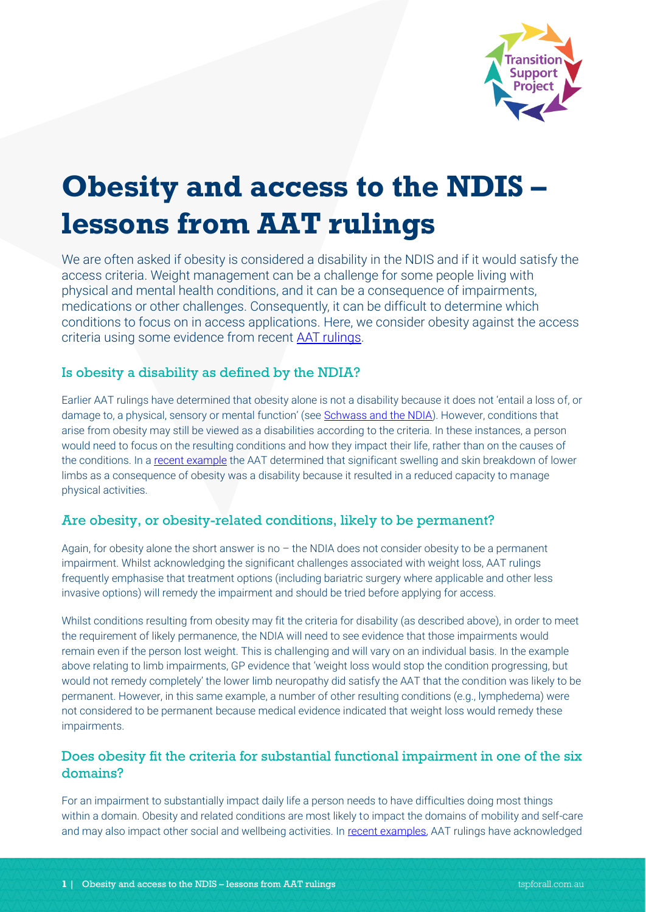

# **Obesity and access to the NDIS – lessons from AAT rulings**

We are often asked if obesity is considered a disability in the NDIS and if it would satisfy the access criteria. Weight management can be a challenge for some people living with physical and mental health conditions, and it can be a consequence of impairments, medications or other challenges. Consequently, it can be difficult to determine which conditions to focus on in access applications. Here, we consider obesity against the access criteria using some evidence from recent [AAT rulings.](http://www7.austlii.edu.au/cgi-bin/sinosrch.cgi?mask_path=au%2Fcases%2Fcth%2FAATA&method=auto&query=obesity)

## Is obesity a disability as defined by the NDIA?

Earlier AAT rulings have determined that obesity alone is not a disability because it does not 'entail a loss of, or damage to, a physical, sensory or mental function' (see [Schwass and the NDIA\)](http://www.austlii.edu.au/cgi-bin/viewdoc/au/cases/cth/AATA/2019/28.html). However, conditions that arise from obesity may still be viewed as a disabilities according to the criteria. In these instances, a person would need to focus on the resulting conditions and how they impact their life, rather than on the causes of the conditions. In a [recent example](http://www8.austlii.edu.au/cgi-bin/viewdoc/au/cases/cth/AATA/2019/2120.html?context=1;query=NDIS;mask_path=au/cases/cth/AATA) the AAT determined that significant swelling and skin breakdown of lower limbs as a consequence of obesity was a disability because it resulted in a reduced capacity to manage physical activities.

## Are obesity, or obesity-related conditions, likely to be permanent?

Again, for obesity alone the short answer is no – the NDIA does not consider obesity to be a permanent impairment. Whilst acknowledging the significant challenges associated with weight loss, AAT rulings frequently emphasise that treatment options (including bariatric surgery where applicable and other less invasive options) will remedy the impairment and should be tried before applying for access.

Whilst conditions resulting from obesity may fit the criteria for disability (as described above), in order to meet the requirement of likely permanence, the NDIA will need to see evidence that those impairments would remain even if the person lost weight. This is challenging and will vary on an individual basis. In the example above relating to limb impairments, GP evidence that 'weight loss would stop the condition progressing, but would not remedy completely' the lower limb neuropathy did satisfy the AAT that the condition was likely to be permanent. However, in this same example, a number of other resulting conditions (e.g., lymphedema) were not considered to be permanent because medical evidence indicated that weight loss would remedy these impairments.

## Does obesity fit the criteria for substantial functional impairment in one of the six domains?

For an impairment to substantially impact daily life a person needs to have difficulties doing most things within a domain. Obesity and related conditions are most likely to impact the domains of mobility and self-care and may also impact other social and wellbeing activities. In recent [examples,](http://www8.austlii.edu.au/cgi-bin/viewdoc/au/cases/cth/AATA/2019/2120.html?context=1;query=NDIS;mask_path=au/cases/cth/AATA) AAT rulings have acknowledged